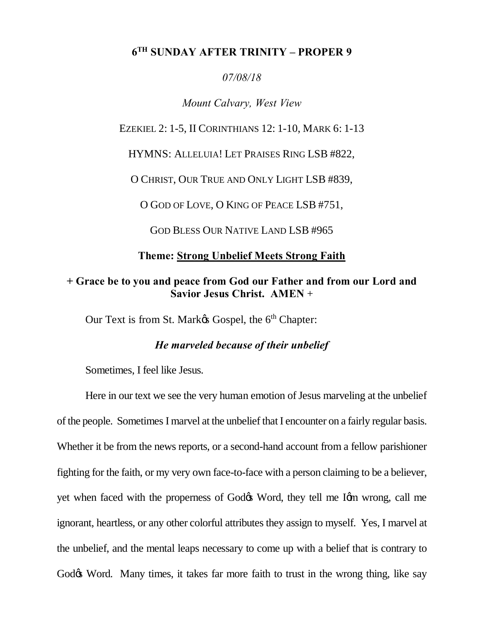## **6TH SUNDAY AFTER TRINITY – PROPER 9**

### *07/08/18*

## *Mount Calvary, West View*

#### EZEKIEL 2: 1-5, II CORINTHIANS 12: 1-10, MARK 6: 1-13

HYMNS: ALLELUIA! LET PRAISES RING LSB #822,

O CHRIST, OUR TRUE AND ONLY LIGHT LSB #839,

O GOD OF LOVE, O KING OF PEACE LSB #751,

GOD BLESS OUR NATIVE LAND LSB #965

## **Theme: Strong Unbelief Meets Strong Faith**

## **+ Grace be to you and peace from God our Father and from our Lord and Savior Jesus Christ. AMEN** +

Our Text is from St. Mark $\alpha$  Gospel, the 6<sup>th</sup> Chapter:

## *He marveled because of their unbelief*

Sometimes, I feel like Jesus.

Here in our text we see the very human emotion of Jesus marveling at the unbelief of the people. Sometimes I marvel at the unbelief that I encounter on a fairly regular basis. Whether it be from the news reports, or a second-hand account from a fellow parishioner fighting for the faith, or my very own face-to-face with a person claiming to be a believer, yet when faced with the properness of God $\alpha$  Word, they tell me I $\alpha$  wrong, call me ignorant, heartless, or any other colorful attributes they assign to myself. Yes, I marvel at the unbelief, and the mental leaps necessary to come up with a belief that is contrary to God $\alpha$  Word. Many times, it takes far more faith to trust in the wrong thing, like say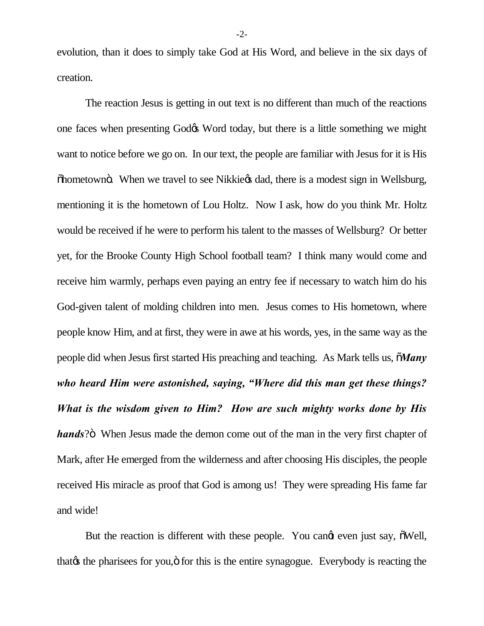evolution, than it does to simply take God at His Word, and believe in the six days of creation.

The reaction Jesus is getting in out text is no different than much of the reactions one faces when presenting Godos Word today, but there is a little something we might want to notice before we go on. In our text, the people are familiar with Jesus for it is His  $\ddot{\text{ob}}$  ohometown $\ddot{\text{o}}$ . When we travel to see Nikkie $\alpha$  dad, there is a modest sign in Wellsburg, mentioning it is the hometown of Lou Holtz. Now I ask, how do you think Mr. Holtz would be received if he were to perform his talent to the masses of Wellsburg? Or better yet, for the Brooke County High School football team? I think many would come and receive him warmly, perhaps even paying an entry fee if necessary to watch him do his God-given talent of molding children into men. Jesus comes to His hometown, where people know Him, and at first, they were in awe at his words, yes, in the same way as the people did when Jesus first started His preaching and teaching. As Mark tells us, "*Many who heard Him were astonished, saying, "Where did this man get these things? What is the wisdom given to Him? How are such mighty works done by His hands*?" When Jesus made the demon come out of the man in the very first chapter of Mark, after He emerged from the wilderness and after choosing His disciples, the people received His miracle as proof that God is among us! They were spreading His fame far and wide!

But the reaction is different with these people. You cand even just say,  $\delta$ Well, that the pharisees for you,  $\ddot{\text{o}}$  for this is the entire synagogue. Everybody is reacting the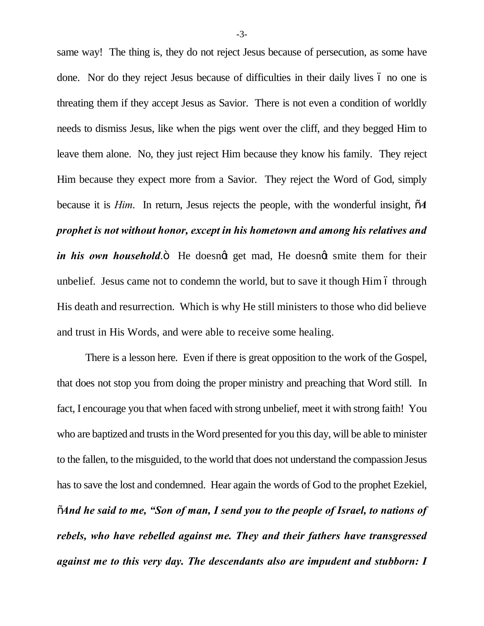same way! The thing is, they do not reject Jesus because of persecution, as some have done. Nor do they reject Jesus because of difficulties in their daily lives 6 no one is threating them if they accept Jesus as Savior. There is not even a condition of worldly needs to dismiss Jesus, like when the pigs went over the cliff, and they begged Him to leave them alone. No, they just reject Him because they know his family. They reject Him because they expect more from a Savior. They reject the Word of God, simply because it is *Him*. In return, Jesus rejects the people, with the wonderful insight,  $\tilde{o}A$ *prophet is not without honor, except in his hometown and among his relatives and in his own household*.<sup>"</sup> He doesnot get mad, He doesnot smite them for their unbelief. Jesus came not to condemn the world, but to save it though Him 6 through His death and resurrection. Which is why He still ministers to those who did believe and trust in His Words, and were able to receive some healing.

There is a lesson here. Even if there is great opposition to the work of the Gospel, that does not stop you from doing the proper ministry and preaching that Word still. In fact, I encourage you that when faced with strong unbelief, meet it with strong faith! You who are baptized and trusts in the Word presented for you this day, will be able to minister to the fallen, to the misguided, to the world that does not understand the compassion Jesus has to save the lost and condemned. Hear again the words of God to the prophet Ezekiel, "*And he said to me, "Son of man, I send you to the people of Israel, to nations of rebels, who have rebelled against me. They and their fathers have transgressed against me to this very day. The descendants also are impudent and stubborn: I*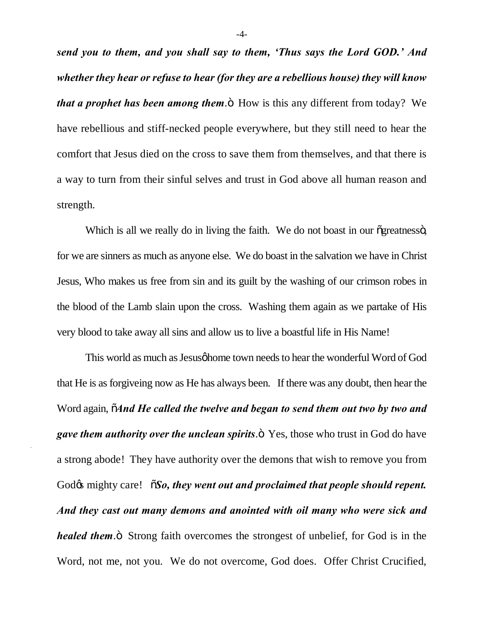*send you to them, and you shall say to them, 'Thus says the Lord GOD.' And whether they hear or refuse to hear (for they are a rebellious house) they will know that a prophet has been among them.* They is this any different from today? We have rebellious and stiff-necked people everywhere, but they still need to hear the comfort that Jesus died on the cross to save them from themselves, and that there is a way to turn from their sinful selves and trust in God above all human reason and strength.

Which is all we really do in living the faith. We do not boast in our ogreatnesso, for we are sinners as much as anyone else. We do boast in the salvation we have in Christ Jesus, Who makes us free from sin and its guilt by the washing of our crimson robes in the blood of the Lamb slain upon the cross. Washing them again as we partake of His very blood to take away all sins and allow us to live a boastful life in His Name!

This world as much as Jesus of home town needs to hear the wonderful Word of God that He is as forgiveing now as He has always been. If there was any doubt, then hear the Word again,  $\tilde{o}$ *And He called the twelve and began to send them out two by two and gave them authority over the unclean spirits.*  $\ddot{\text{o}}$  Yes, those who trust in God do have a strong abode! They have authority over the demons that wish to remove you from God $\alpha$  mighty care!  $\tilde{\alpha}$ *So, they went out and proclaimed that people should repent. And they cast out many demons and anointed with oil many who were sick and healed them*.<sup> $\ddot{\text{o}}$ </sup> Strong faith overcomes the strongest of unbelief, for God is in the Word, not me, not you. We do not overcome, God does. Offer Christ Crucified,